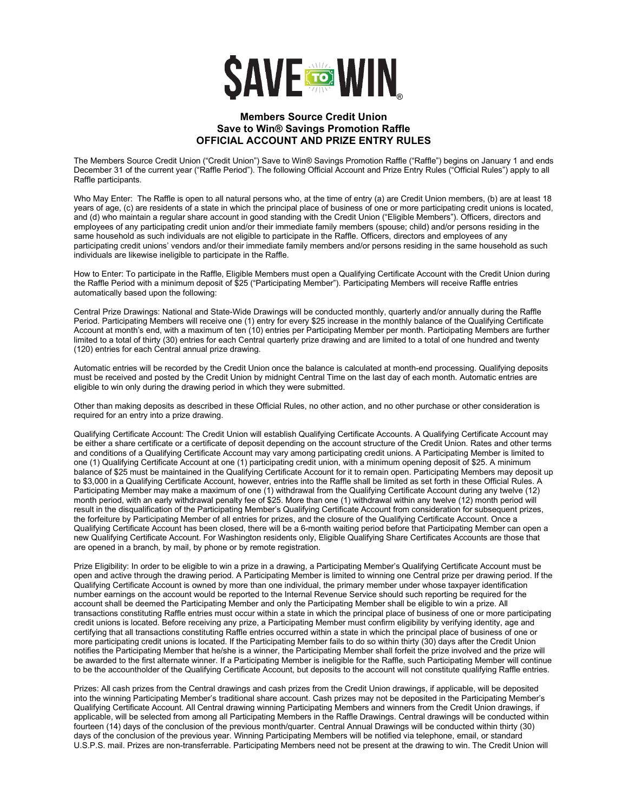

## **Members Source Credit Union Save to Win® Savings Promotion Raffle OFFICIAL ACCOUNT AND PRIZE ENTRY RULES**

The Members Source Credit Union ("Credit Union") Save to Win® Savings Promotion Raffle ("Raffle") begins on January 1 and ends December 31 of the current year ("Raffle Period"). The following Official Account and Prize Entry Rules ("Official Rules") apply to all Raffle participants.

Who May Enter: The Raffle is open to all natural persons who, at the time of entry (a) are Credit Union members, (b) are at least 18 years of age, (c) are residents of a state in which the principal place of business of one or more participating credit unions is located, and (d) who maintain a regular share account in good standing with the Credit Union ("Eligible Members"). Officers, directors and employees of any participating credit union and/or their immediate family members (spouse; child) and/or persons residing in the same household as such individuals are not eligible to participate in the Raffle. Officers, directors and employees of any participating credit unions' vendors and/or their immediate family members and/or persons residing in the same household as such individuals are likewise ineligible to participate in the Raffle.

How to Enter: To participate in the Raffle, Eligible Members must open a Qualifying Certificate Account with the Credit Union during the Raffle Period with a minimum deposit of \$25 ("Participating Member"). Participating Members will receive Raffle entries automatically based upon the following:

Central Prize Drawings: National and State-Wide Drawings will be conducted monthly, quarterly and/or annually during the Raffle Period. Participating Members will receive one (1) entry for every \$25 increase in the monthly balance of the Qualifying Certificate Account at month's end, with a maximum of ten (10) entries per Participating Member per month. Participating Members are further limited to a total of thirty (30) entries for each Central quarterly prize drawing and are limited to a total of one hundred and twenty (120) entries for each Central annual prize drawing.

Automatic entries will be recorded by the Credit Union once the balance is calculated at month-end processing. Qualifying deposits must be received and posted by the Credit Union by midnight Central Time on the last day of each month. Automatic entries are eligible to win only during the drawing period in which they were submitted.

Other than making deposits as described in these Official Rules, no other action, and no other purchase or other consideration is required for an entry into a prize drawing.

Qualifying Certificate Account: The Credit Union will establish Qualifying Certificate Accounts. A Qualifying Certificate Account may be either a share certificate or a certificate of deposit depending on the account structure of the Credit Union. Rates and other terms and conditions of a Qualifying Certificate Account may vary among participating credit unions. A Participating Member is limited to one (1) Qualifying Certificate Account at one (1) participating credit union, with a minimum opening deposit of \$25. A minimum balance of \$25 must be maintained in the Qualifying Certificate Account for it to remain open. Participating Members may deposit up to \$3,000 in a Qualifying Certificate Account, however, entries into the Raffle shall be limited as set forth in these Official Rules. A Participating Member may make a maximum of one (1) withdrawal from the Qualifying Certificate Account during any twelve (12) month period, with an early withdrawal penalty fee of \$25. More than one (1) withdrawal within any twelve (12) month period will result in the disqualification of the Participating Member's Qualifying Certificate Account from consideration for subsequent prizes, the forfeiture by Participating Member of all entries for prizes, and the closure of the Qualifying Certificate Account. Once a Qualifying Certificate Account has been closed, there will be a 6-month waiting period before that Participating Member can open a new Qualifying Certificate Account. For Washington residents only, Eligible Qualifying Share Certificates Accounts are those that are opened in a branch, by mail, by phone or by remote registration.

Prize Eligibility: In order to be eligible to win a prize in a drawing, a Participating Member's Qualifying Certificate Account must be open and active through the drawing period. A Participating Member is limited to winning one Central prize per drawing period. If the Qualifying Certificate Account is owned by more than one individual, the primary member under whose taxpayer identification number earnings on the account would be reported to the Internal Revenue Service should such reporting be required for the account shall be deemed the Participating Member and only the Participating Member shall be eligible to win a prize. All transactions constituting Raffle entries must occur within a state in which the principal place of business of one or more participating credit unions is located. Before receiving any prize, a Participating Member must confirm eligibility by verifying identity, age and certifying that all transactions constituting Raffle entries occurred within a state in which the principal place of business of one or more participating credit unions is located. If the Participating Member fails to do so within thirty (30) days after the Credit Union notifies the Participating Member that he/she is a winner, the Participating Member shall forfeit the prize involved and the prize will be awarded to the first alternate winner. If a Participating Member is ineligible for the Raffle, such Participating Member will continue to be the accountholder of the Qualifying Certificate Account, but deposits to the account will not constitute qualifying Raffle entries.

Prizes: All cash prizes from the Central drawings and cash prizes from the Credit Union drawings, if applicable, will be deposited into the winning Participating Member's traditional share account. Cash prizes may not be deposited in the Participating Member's Qualifying Certificate Account. All Central drawing winning Participating Members and winners from the Credit Union drawings, if applicable, will be selected from among all Participating Members in the Raffle Drawings. Central drawings will be conducted within fourteen (14) days of the conclusion of the previous month/quarter. Central Annual Drawings will be conducted within thirty (30) days of the conclusion of the previous year. Winning Participating Members will be notified via telephone, email, or standard U.S.P.S. mail. Prizes are non-transferrable. Participating Members need not be present at the drawing to win. The Credit Union will